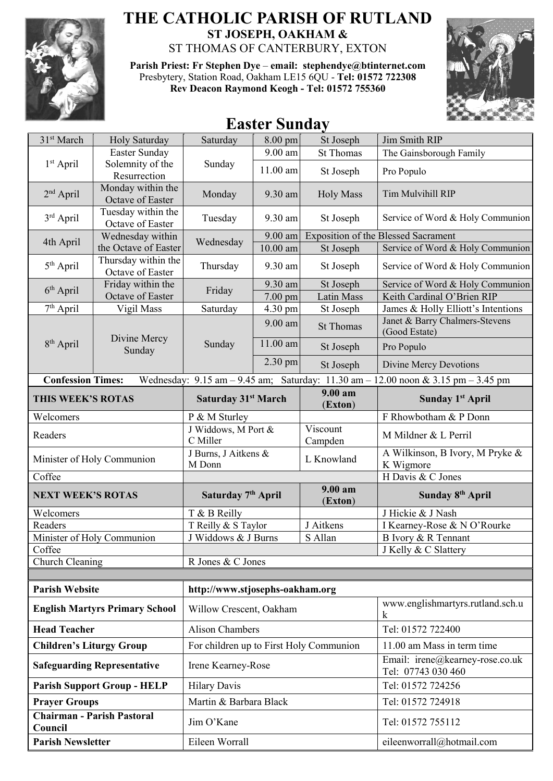

## **THE CATHOLIC PARISH OF RUTLAND ST JOSEPH, OAKHAM &**  ST THOMAS OF CANTERBURY, EXTON

**Parish Priest: Fr Stephen Dye** – **[email: stephendye@btinternet.com](mailto:email:%20%20stephendye@btinternet.com)** Presbytery, Station Road, Oakham LE15 6QU - **Tel: 01572 722308 Rev Deacon Raymond Keogh - Tel: 01572 755360**



## **Easter Sunday**

| Easter Sunday<br>9.00 am<br><b>St Thomas</b><br>The Gainsborough Family<br>Solemnity of the<br>$1st$ April<br>Sunday<br>11.00 am<br>St Joseph<br>Pro Populo<br>Resurrection<br>Monday within the<br>$2nd$ April<br><b>Holy Mass</b><br>Tim Mulvihill RIP<br>Monday<br>9.30 am<br>Octave of Easter<br>Tuesday within the<br>3rd April<br>Tuesday<br>9.30 am<br>St Joseph<br>Octave of Easter<br><b>Exposition of the Blessed Sacrament</b><br>Wednesday within<br>9.00 am<br>Wednesday<br>4th April<br>$\overline{10.00}$ am<br>the Octave of Easter<br>St Joseph<br>Service of Word & Holy Communion<br>Thursday within the<br>5 <sup>th</sup> April<br>Thursday<br>9.30 am<br>St Joseph<br>Octave of Easter<br>Friday within the<br>9.30 am<br>St Joseph<br>$6th$ April<br>Friday<br>Octave of Easter<br>Keith Cardinal O'Brien RIP<br>7.00 pm<br>Latin Mass<br>$\overline{7^{th}}$ April<br>Vigil Mass<br>4.30 pm<br>St Joseph<br>James & Holly Elliott's Intentions<br>Saturday<br>Janet & Barry Chalmers-Stevens<br>9.00 am<br><b>St Thomas</b><br>(Good Estate)<br>Divine Mercy<br>8 <sup>th</sup> April<br>11.00 am<br>Sunday<br>St Joseph<br>Pro Populo<br>Sunday<br>2.30 pm<br>St Joseph<br><b>Divine Mercy Devotions</b><br><b>Confession Times:</b><br>Wednesday: $9.15$ am $-9.45$ am; Saturday: 11.30 am<br>$-12.00$ noon & 3.15 pm $-3.45$ pm<br>9.00 am<br>THIS WEEK'S ROTAS<br>Sunday 1 <sup>st</sup> April<br>Saturday 31 <sup>st</sup> March<br>(Exton)<br>F Rhowbotham & P Donn<br>Welcomers<br>P & M Sturley<br>J Widdows, M Port &<br>Viscount<br>M Mildner & L Perril<br>Readers<br>Campden<br>C Miller<br>J Burns, J Aitkens &<br>A Wilkinson, B Ivory, M Pryke &<br>Minister of Holy Communion<br>L Knowland<br>M Donn<br>K Wigmore<br>H Davis & C Jones<br>Coffee<br>9.00 am<br>Saturday 7 <sup>th</sup> April<br>Sunday 8 <sup>th</sup> April<br><b>NEXT WEEK'S ROTAS</b><br>(Exton)<br>J Hickie & J Nash<br>Welcomers<br>T & B Reilly<br>Readers<br>T Reilly & S Taylor<br>J Aitkens<br>I Kearney-Rose & N O'Rourke<br>J Widdows & J Burns<br>S Allan<br>Minister of Holy Communion<br>B Ivory & R Tennant<br>J Kelly & C Slattery<br>Coffee<br>R Jones & C Jones<br>Church Cleaning<br><b>Parish Website</b><br>http://www.stjosephs-oakham.org<br>www.englishmartyrs.rutland.sch.u<br><b>English Martyrs Primary School</b><br>Willow Crescent, Oakham<br>k<br><b>Head Teacher</b><br><b>Alison Chambers</b><br>Tel: 01572 722400<br><b>Children's Liturgy Group</b><br>11.00 am Mass in term time<br>For children up to First Holy Communion<br>Email: irene@kearney-rose.co.uk<br><b>Safeguarding Representative</b><br>Irene Kearney-Rose<br>Tel: 07743 030 460<br>Tel: 01572 724256<br><b>Hilary Davis</b><br><b>Parish Support Group - HELP</b><br>Martin & Barbara Black<br>Tel: 01572 724918<br><b>Prayer Groups</b><br><b>Chairman - Parish Pastoral</b><br>Jim O'Kane<br>Tel: 01572 755112<br>Council<br><b>Parish Newsletter</b><br>Eileen Worrall<br>eileenworrall@hotmail.com | 31 <sup>st</sup> March | Holy Saturday | Saturday | 8.00 pm | St Joseph | Jim Smith RIP                    |  |  |
|-----------------------------------------------------------------------------------------------------------------------------------------------------------------------------------------------------------------------------------------------------------------------------------------------------------------------------------------------------------------------------------------------------------------------------------------------------------------------------------------------------------------------------------------------------------------------------------------------------------------------------------------------------------------------------------------------------------------------------------------------------------------------------------------------------------------------------------------------------------------------------------------------------------------------------------------------------------------------------------------------------------------------------------------------------------------------------------------------------------------------------------------------------------------------------------------------------------------------------------------------------------------------------------------------------------------------------------------------------------------------------------------------------------------------------------------------------------------------------------------------------------------------------------------------------------------------------------------------------------------------------------------------------------------------------------------------------------------------------------------------------------------------------------------------------------------------------------------------------------------------------------------------------------------------------------------------------------------------------------------------------------------------------------------------------------------------------------------------------------------------------------------------------------------------------------------------------------------------------------------------------------------------------------------------------------------------------------------------------------------------------------------------------------------------------------------------------------------------------------------------------------------------------------------------------------------------------------------------------------------------------------------------------------------------------------------------------------------------------------------------------------------------------------------------------------------------------------------------------------------------------------------------------------------------------------------------------------------------------------------------------------------------|------------------------|---------------|----------|---------|-----------|----------------------------------|--|--|
|                                                                                                                                                                                                                                                                                                                                                                                                                                                                                                                                                                                                                                                                                                                                                                                                                                                                                                                                                                                                                                                                                                                                                                                                                                                                                                                                                                                                                                                                                                                                                                                                                                                                                                                                                                                                                                                                                                                                                                                                                                                                                                                                                                                                                                                                                                                                                                                                                                                                                                                                                                                                                                                                                                                                                                                                                                                                                                                                                                                                                       |                        |               |          |         |           |                                  |  |  |
|                                                                                                                                                                                                                                                                                                                                                                                                                                                                                                                                                                                                                                                                                                                                                                                                                                                                                                                                                                                                                                                                                                                                                                                                                                                                                                                                                                                                                                                                                                                                                                                                                                                                                                                                                                                                                                                                                                                                                                                                                                                                                                                                                                                                                                                                                                                                                                                                                                                                                                                                                                                                                                                                                                                                                                                                                                                                                                                                                                                                                       |                        |               |          |         |           |                                  |  |  |
|                                                                                                                                                                                                                                                                                                                                                                                                                                                                                                                                                                                                                                                                                                                                                                                                                                                                                                                                                                                                                                                                                                                                                                                                                                                                                                                                                                                                                                                                                                                                                                                                                                                                                                                                                                                                                                                                                                                                                                                                                                                                                                                                                                                                                                                                                                                                                                                                                                                                                                                                                                                                                                                                                                                                                                                                                                                                                                                                                                                                                       |                        |               |          |         |           |                                  |  |  |
|                                                                                                                                                                                                                                                                                                                                                                                                                                                                                                                                                                                                                                                                                                                                                                                                                                                                                                                                                                                                                                                                                                                                                                                                                                                                                                                                                                                                                                                                                                                                                                                                                                                                                                                                                                                                                                                                                                                                                                                                                                                                                                                                                                                                                                                                                                                                                                                                                                                                                                                                                                                                                                                                                                                                                                                                                                                                                                                                                                                                                       |                        |               |          |         |           | Service of Word & Holy Communion |  |  |
|                                                                                                                                                                                                                                                                                                                                                                                                                                                                                                                                                                                                                                                                                                                                                                                                                                                                                                                                                                                                                                                                                                                                                                                                                                                                                                                                                                                                                                                                                                                                                                                                                                                                                                                                                                                                                                                                                                                                                                                                                                                                                                                                                                                                                                                                                                                                                                                                                                                                                                                                                                                                                                                                                                                                                                                                                                                                                                                                                                                                                       |                        |               |          |         |           |                                  |  |  |
|                                                                                                                                                                                                                                                                                                                                                                                                                                                                                                                                                                                                                                                                                                                                                                                                                                                                                                                                                                                                                                                                                                                                                                                                                                                                                                                                                                                                                                                                                                                                                                                                                                                                                                                                                                                                                                                                                                                                                                                                                                                                                                                                                                                                                                                                                                                                                                                                                                                                                                                                                                                                                                                                                                                                                                                                                                                                                                                                                                                                                       |                        |               |          |         |           |                                  |  |  |
|                                                                                                                                                                                                                                                                                                                                                                                                                                                                                                                                                                                                                                                                                                                                                                                                                                                                                                                                                                                                                                                                                                                                                                                                                                                                                                                                                                                                                                                                                                                                                                                                                                                                                                                                                                                                                                                                                                                                                                                                                                                                                                                                                                                                                                                                                                                                                                                                                                                                                                                                                                                                                                                                                                                                                                                                                                                                                                                                                                                                                       |                        |               |          |         |           | Service of Word & Holy Communion |  |  |
|                                                                                                                                                                                                                                                                                                                                                                                                                                                                                                                                                                                                                                                                                                                                                                                                                                                                                                                                                                                                                                                                                                                                                                                                                                                                                                                                                                                                                                                                                                                                                                                                                                                                                                                                                                                                                                                                                                                                                                                                                                                                                                                                                                                                                                                                                                                                                                                                                                                                                                                                                                                                                                                                                                                                                                                                                                                                                                                                                                                                                       |                        |               |          |         |           | Service of Word & Holy Communion |  |  |
|                                                                                                                                                                                                                                                                                                                                                                                                                                                                                                                                                                                                                                                                                                                                                                                                                                                                                                                                                                                                                                                                                                                                                                                                                                                                                                                                                                                                                                                                                                                                                                                                                                                                                                                                                                                                                                                                                                                                                                                                                                                                                                                                                                                                                                                                                                                                                                                                                                                                                                                                                                                                                                                                                                                                                                                                                                                                                                                                                                                                                       |                        |               |          |         |           |                                  |  |  |
|                                                                                                                                                                                                                                                                                                                                                                                                                                                                                                                                                                                                                                                                                                                                                                                                                                                                                                                                                                                                                                                                                                                                                                                                                                                                                                                                                                                                                                                                                                                                                                                                                                                                                                                                                                                                                                                                                                                                                                                                                                                                                                                                                                                                                                                                                                                                                                                                                                                                                                                                                                                                                                                                                                                                                                                                                                                                                                                                                                                                                       |                        |               |          |         |           |                                  |  |  |
|                                                                                                                                                                                                                                                                                                                                                                                                                                                                                                                                                                                                                                                                                                                                                                                                                                                                                                                                                                                                                                                                                                                                                                                                                                                                                                                                                                                                                                                                                                                                                                                                                                                                                                                                                                                                                                                                                                                                                                                                                                                                                                                                                                                                                                                                                                                                                                                                                                                                                                                                                                                                                                                                                                                                                                                                                                                                                                                                                                                                                       |                        |               |          |         |           |                                  |  |  |
|                                                                                                                                                                                                                                                                                                                                                                                                                                                                                                                                                                                                                                                                                                                                                                                                                                                                                                                                                                                                                                                                                                                                                                                                                                                                                                                                                                                                                                                                                                                                                                                                                                                                                                                                                                                                                                                                                                                                                                                                                                                                                                                                                                                                                                                                                                                                                                                                                                                                                                                                                                                                                                                                                                                                                                                                                                                                                                                                                                                                                       |                        |               |          |         |           |                                  |  |  |
|                                                                                                                                                                                                                                                                                                                                                                                                                                                                                                                                                                                                                                                                                                                                                                                                                                                                                                                                                                                                                                                                                                                                                                                                                                                                                                                                                                                                                                                                                                                                                                                                                                                                                                                                                                                                                                                                                                                                                                                                                                                                                                                                                                                                                                                                                                                                                                                                                                                                                                                                                                                                                                                                                                                                                                                                                                                                                                                                                                                                                       |                        |               |          |         |           |                                  |  |  |
|                                                                                                                                                                                                                                                                                                                                                                                                                                                                                                                                                                                                                                                                                                                                                                                                                                                                                                                                                                                                                                                                                                                                                                                                                                                                                                                                                                                                                                                                                                                                                                                                                                                                                                                                                                                                                                                                                                                                                                                                                                                                                                                                                                                                                                                                                                                                                                                                                                                                                                                                                                                                                                                                                                                                                                                                                                                                                                                                                                                                                       |                        |               |          |         |           |                                  |  |  |
|                                                                                                                                                                                                                                                                                                                                                                                                                                                                                                                                                                                                                                                                                                                                                                                                                                                                                                                                                                                                                                                                                                                                                                                                                                                                                                                                                                                                                                                                                                                                                                                                                                                                                                                                                                                                                                                                                                                                                                                                                                                                                                                                                                                                                                                                                                                                                                                                                                                                                                                                                                                                                                                                                                                                                                                                                                                                                                                                                                                                                       |                        |               |          |         |           |                                  |  |  |
|                                                                                                                                                                                                                                                                                                                                                                                                                                                                                                                                                                                                                                                                                                                                                                                                                                                                                                                                                                                                                                                                                                                                                                                                                                                                                                                                                                                                                                                                                                                                                                                                                                                                                                                                                                                                                                                                                                                                                                                                                                                                                                                                                                                                                                                                                                                                                                                                                                                                                                                                                                                                                                                                                                                                                                                                                                                                                                                                                                                                                       |                        |               |          |         |           |                                  |  |  |
|                                                                                                                                                                                                                                                                                                                                                                                                                                                                                                                                                                                                                                                                                                                                                                                                                                                                                                                                                                                                                                                                                                                                                                                                                                                                                                                                                                                                                                                                                                                                                                                                                                                                                                                                                                                                                                                                                                                                                                                                                                                                                                                                                                                                                                                                                                                                                                                                                                                                                                                                                                                                                                                                                                                                                                                                                                                                                                                                                                                                                       |                        |               |          |         |           |                                  |  |  |
|                                                                                                                                                                                                                                                                                                                                                                                                                                                                                                                                                                                                                                                                                                                                                                                                                                                                                                                                                                                                                                                                                                                                                                                                                                                                                                                                                                                                                                                                                                                                                                                                                                                                                                                                                                                                                                                                                                                                                                                                                                                                                                                                                                                                                                                                                                                                                                                                                                                                                                                                                                                                                                                                                                                                                                                                                                                                                                                                                                                                                       |                        |               |          |         |           |                                  |  |  |
|                                                                                                                                                                                                                                                                                                                                                                                                                                                                                                                                                                                                                                                                                                                                                                                                                                                                                                                                                                                                                                                                                                                                                                                                                                                                                                                                                                                                                                                                                                                                                                                                                                                                                                                                                                                                                                                                                                                                                                                                                                                                                                                                                                                                                                                                                                                                                                                                                                                                                                                                                                                                                                                                                                                                                                                                                                                                                                                                                                                                                       |                        |               |          |         |           |                                  |  |  |
|                                                                                                                                                                                                                                                                                                                                                                                                                                                                                                                                                                                                                                                                                                                                                                                                                                                                                                                                                                                                                                                                                                                                                                                                                                                                                                                                                                                                                                                                                                                                                                                                                                                                                                                                                                                                                                                                                                                                                                                                                                                                                                                                                                                                                                                                                                                                                                                                                                                                                                                                                                                                                                                                                                                                                                                                                                                                                                                                                                                                                       |                        |               |          |         |           |                                  |  |  |
|                                                                                                                                                                                                                                                                                                                                                                                                                                                                                                                                                                                                                                                                                                                                                                                                                                                                                                                                                                                                                                                                                                                                                                                                                                                                                                                                                                                                                                                                                                                                                                                                                                                                                                                                                                                                                                                                                                                                                                                                                                                                                                                                                                                                                                                                                                                                                                                                                                                                                                                                                                                                                                                                                                                                                                                                                                                                                                                                                                                                                       |                        |               |          |         |           |                                  |  |  |
|                                                                                                                                                                                                                                                                                                                                                                                                                                                                                                                                                                                                                                                                                                                                                                                                                                                                                                                                                                                                                                                                                                                                                                                                                                                                                                                                                                                                                                                                                                                                                                                                                                                                                                                                                                                                                                                                                                                                                                                                                                                                                                                                                                                                                                                                                                                                                                                                                                                                                                                                                                                                                                                                                                                                                                                                                                                                                                                                                                                                                       |                        |               |          |         |           |                                  |  |  |
|                                                                                                                                                                                                                                                                                                                                                                                                                                                                                                                                                                                                                                                                                                                                                                                                                                                                                                                                                                                                                                                                                                                                                                                                                                                                                                                                                                                                                                                                                                                                                                                                                                                                                                                                                                                                                                                                                                                                                                                                                                                                                                                                                                                                                                                                                                                                                                                                                                                                                                                                                                                                                                                                                                                                                                                                                                                                                                                                                                                                                       |                        |               |          |         |           |                                  |  |  |
|                                                                                                                                                                                                                                                                                                                                                                                                                                                                                                                                                                                                                                                                                                                                                                                                                                                                                                                                                                                                                                                                                                                                                                                                                                                                                                                                                                                                                                                                                                                                                                                                                                                                                                                                                                                                                                                                                                                                                                                                                                                                                                                                                                                                                                                                                                                                                                                                                                                                                                                                                                                                                                                                                                                                                                                                                                                                                                                                                                                                                       |                        |               |          |         |           |                                  |  |  |
|                                                                                                                                                                                                                                                                                                                                                                                                                                                                                                                                                                                                                                                                                                                                                                                                                                                                                                                                                                                                                                                                                                                                                                                                                                                                                                                                                                                                                                                                                                                                                                                                                                                                                                                                                                                                                                                                                                                                                                                                                                                                                                                                                                                                                                                                                                                                                                                                                                                                                                                                                                                                                                                                                                                                                                                                                                                                                                                                                                                                                       |                        |               |          |         |           |                                  |  |  |
|                                                                                                                                                                                                                                                                                                                                                                                                                                                                                                                                                                                                                                                                                                                                                                                                                                                                                                                                                                                                                                                                                                                                                                                                                                                                                                                                                                                                                                                                                                                                                                                                                                                                                                                                                                                                                                                                                                                                                                                                                                                                                                                                                                                                                                                                                                                                                                                                                                                                                                                                                                                                                                                                                                                                                                                                                                                                                                                                                                                                                       |                        |               |          |         |           |                                  |  |  |
|                                                                                                                                                                                                                                                                                                                                                                                                                                                                                                                                                                                                                                                                                                                                                                                                                                                                                                                                                                                                                                                                                                                                                                                                                                                                                                                                                                                                                                                                                                                                                                                                                                                                                                                                                                                                                                                                                                                                                                                                                                                                                                                                                                                                                                                                                                                                                                                                                                                                                                                                                                                                                                                                                                                                                                                                                                                                                                                                                                                                                       |                        |               |          |         |           |                                  |  |  |
|                                                                                                                                                                                                                                                                                                                                                                                                                                                                                                                                                                                                                                                                                                                                                                                                                                                                                                                                                                                                                                                                                                                                                                                                                                                                                                                                                                                                                                                                                                                                                                                                                                                                                                                                                                                                                                                                                                                                                                                                                                                                                                                                                                                                                                                                                                                                                                                                                                                                                                                                                                                                                                                                                                                                                                                                                                                                                                                                                                                                                       |                        |               |          |         |           |                                  |  |  |
|                                                                                                                                                                                                                                                                                                                                                                                                                                                                                                                                                                                                                                                                                                                                                                                                                                                                                                                                                                                                                                                                                                                                                                                                                                                                                                                                                                                                                                                                                                                                                                                                                                                                                                                                                                                                                                                                                                                                                                                                                                                                                                                                                                                                                                                                                                                                                                                                                                                                                                                                                                                                                                                                                                                                                                                                                                                                                                                                                                                                                       |                        |               |          |         |           |                                  |  |  |
|                                                                                                                                                                                                                                                                                                                                                                                                                                                                                                                                                                                                                                                                                                                                                                                                                                                                                                                                                                                                                                                                                                                                                                                                                                                                                                                                                                                                                                                                                                                                                                                                                                                                                                                                                                                                                                                                                                                                                                                                                                                                                                                                                                                                                                                                                                                                                                                                                                                                                                                                                                                                                                                                                                                                                                                                                                                                                                                                                                                                                       |                        |               |          |         |           |                                  |  |  |
|                                                                                                                                                                                                                                                                                                                                                                                                                                                                                                                                                                                                                                                                                                                                                                                                                                                                                                                                                                                                                                                                                                                                                                                                                                                                                                                                                                                                                                                                                                                                                                                                                                                                                                                                                                                                                                                                                                                                                                                                                                                                                                                                                                                                                                                                                                                                                                                                                                                                                                                                                                                                                                                                                                                                                                                                                                                                                                                                                                                                                       |                        |               |          |         |           |                                  |  |  |
|                                                                                                                                                                                                                                                                                                                                                                                                                                                                                                                                                                                                                                                                                                                                                                                                                                                                                                                                                                                                                                                                                                                                                                                                                                                                                                                                                                                                                                                                                                                                                                                                                                                                                                                                                                                                                                                                                                                                                                                                                                                                                                                                                                                                                                                                                                                                                                                                                                                                                                                                                                                                                                                                                                                                                                                                                                                                                                                                                                                                                       |                        |               |          |         |           |                                  |  |  |
|                                                                                                                                                                                                                                                                                                                                                                                                                                                                                                                                                                                                                                                                                                                                                                                                                                                                                                                                                                                                                                                                                                                                                                                                                                                                                                                                                                                                                                                                                                                                                                                                                                                                                                                                                                                                                                                                                                                                                                                                                                                                                                                                                                                                                                                                                                                                                                                                                                                                                                                                                                                                                                                                                                                                                                                                                                                                                                                                                                                                                       |                        |               |          |         |           |                                  |  |  |
|                                                                                                                                                                                                                                                                                                                                                                                                                                                                                                                                                                                                                                                                                                                                                                                                                                                                                                                                                                                                                                                                                                                                                                                                                                                                                                                                                                                                                                                                                                                                                                                                                                                                                                                                                                                                                                                                                                                                                                                                                                                                                                                                                                                                                                                                                                                                                                                                                                                                                                                                                                                                                                                                                                                                                                                                                                                                                                                                                                                                                       |                        |               |          |         |           |                                  |  |  |
|                                                                                                                                                                                                                                                                                                                                                                                                                                                                                                                                                                                                                                                                                                                                                                                                                                                                                                                                                                                                                                                                                                                                                                                                                                                                                                                                                                                                                                                                                                                                                                                                                                                                                                                                                                                                                                                                                                                                                                                                                                                                                                                                                                                                                                                                                                                                                                                                                                                                                                                                                                                                                                                                                                                                                                                                                                                                                                                                                                                                                       |                        |               |          |         |           |                                  |  |  |